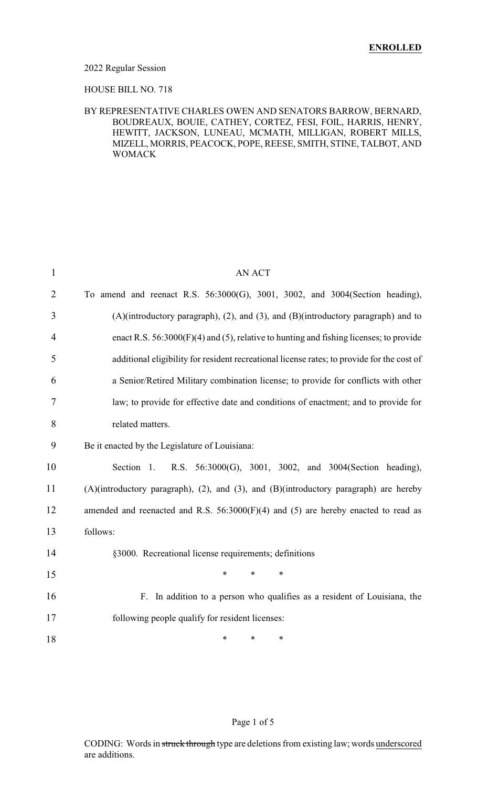#### 2022 Regular Session

### HOUSE BILL NO. 718

### BY REPRESENTATIVE CHARLES OWEN AND SENATORS BARROW, BERNARD, BOUDREAUX, BOUIE, CATHEY, CORTEZ, FESI, FOIL, HARRIS, HENRY, HEWITT, JACKSON, LUNEAU, MCMATH, MILLIGAN, ROBERT MILLS, MIZELL, MORRIS, PEACOCK, POPE, REESE, SMITH, STINE, TALBOT, AND WOMACK

| $\mathbf{1}$   | AN ACT                                                                                     |
|----------------|--------------------------------------------------------------------------------------------|
| $\overline{2}$ | To amend and reenact R.S. 56:3000(G), 3001, 3002, and 3004(Section heading),               |
| 3              | $(A)(introducing paragramh), (2), and (3), and (B)(introducing paragramh)$ and to          |
| $\overline{4}$ | enact R.S. $56:3000(F)(4)$ and (5), relative to hunting and fishing licenses; to provide   |
| 5              | additional eligibility for resident recreational license rates; to provide for the cost of |
| 6              | a Senior/Retired Military combination license; to provide for conflicts with other         |
| 7              | law; to provide for effective date and conditions of enactment; and to provide for         |
| 8              | related matters.                                                                           |
| 9              | Be it enacted by the Legislature of Louisiana:                                             |
| 10             | R.S. 56:3000(G), 3001, 3002, and 3004(Section heading),<br>Section 1.                      |
| 11             | (A)(introductory paragraph), (2), and (3), and (B)(introductory paragraph) are hereby      |
| 12             | amended and reenacted and R.S. $56:3000(F)(4)$ and (5) are hereby enacted to read as       |
| 13             | follows:                                                                                   |
| 14             | §3000. Recreational license requirements; definitions                                      |
| 15             | $\ast$<br>$\ast$<br>$\ast$                                                                 |
| 16             | In addition to a person who qualifies as a resident of Louisiana, the<br>F.                |
| 17             | following people qualify for resident licenses:                                            |
| 18             | *<br>*<br>∗                                                                                |

### Page 1 of 5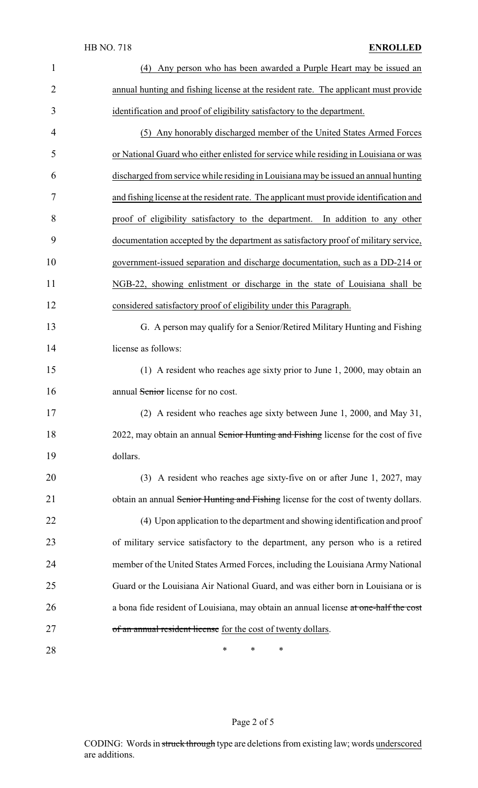| $\mathbf{1}$   | Any person who has been awarded a Purple Heart may be issued an<br>(4)                  |
|----------------|-----------------------------------------------------------------------------------------|
| $\overline{2}$ | annual hunting and fishing license at the resident rate. The applicant must provide     |
| 3              | identification and proof of eligibility satisfactory to the department.                 |
| 4              | (5) Any honorably discharged member of the United States Armed Forces                   |
| 5              | or National Guard who either enlisted for service while residing in Louisiana or was    |
| 6              | discharged from service while residing in Louisiana may be issued an annual hunting     |
| 7              | and fishing license at the resident rate. The applicant must provide identification and |
| 8              | proof of eligibility satisfactory to the department. In addition to any other           |
| 9              | documentation accepted by the department as satisfactory proof of military service,     |
| 10             | government-issued separation and discharge documentation, such as a DD-214 or           |
| 11             | NGB-22, showing enlistment or discharge in the state of Louisiana shall be              |
| 12             | considered satisfactory proof of eligibility under this Paragraph.                      |
| 13             | G. A person may qualify for a Senior/Retired Military Hunting and Fishing               |
| 14             | license as follows:                                                                     |
| 15             | (1) A resident who reaches age sixty prior to June 1, 2000, may obtain an               |
| 16             | annual Senior license for no cost.                                                      |
| 17             | (2) A resident who reaches age sixty between June 1, 2000, and May 31,                  |
| 18             | 2022, may obtain an annual Senior Hunting and Fishing license for the cost of five      |
| 19             | dollars.                                                                                |
| 20             | (3) A resident who reaches age sixty-five on or after June 1, 2027, may                 |
| 21             | obtain an annual Senior Hunting and Fishing license for the cost of twenty dollars.     |
| 22             | (4) Upon application to the department and showing identification and proof             |
| 23             | of military service satisfactory to the department, any person who is a retired         |
| 24             | member of the United States Armed Forces, including the Louisiana Army National         |
| 25             | Guard or the Louisiana Air National Guard, and was either born in Louisiana or is       |
| 26             | a bona fide resident of Louisiana, may obtain an annual license at one-half the cost    |
| 27             | of an annual resident license for the cost of twenty dollars.                           |
| 28             | $\ast$<br>∗<br>∗                                                                        |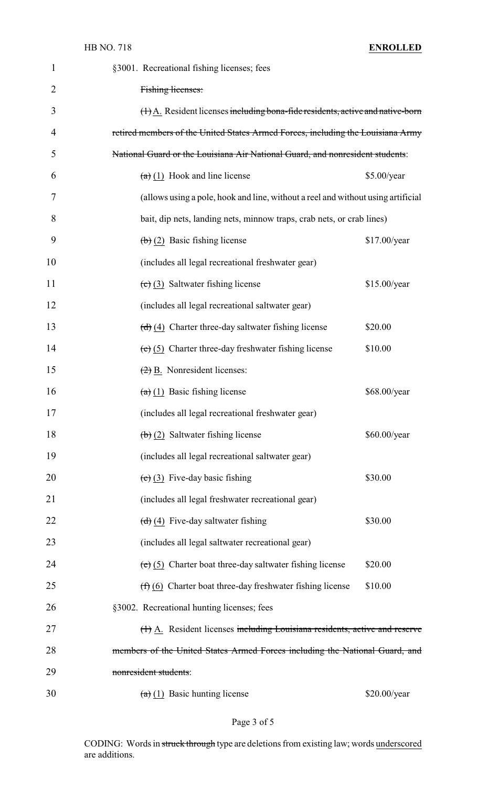| $\mathbf{1}$   | §3001. Recreational fishing licenses; fees                                            |
|----------------|---------------------------------------------------------------------------------------|
| $\overline{2}$ | Fishing licenses:                                                                     |
| 3              | $(+)$ A. Resident licenses including bona-fide residents, active and native-born      |
| 4              | retired members of the United States Armed Forces, including the Louisiana Army       |
| 5              | National Guard or the Louisiana Air National Guard, and nonresident students:         |
| 6              | $\left(\frac{a}{b}\right)$ (1) Hook and line license<br>\$5.00/year                   |
| 7              | (allows using a pole, hook and line, without a reel and without using artificial      |
| 8              | bait, dip nets, landing nets, minnow traps, crab nets, or crab lines)                 |
| 9              | \$17.00/year<br>$\left(\frac{b}{2}\right)$ Basic fishing license                      |
| 10             | (includes all legal recreational freshwater gear)                                     |
| 11             | $\left(\text{c}\right)\left(3\right)$ Saltwater fishing license<br>\$15.00/year       |
| 12             | (includes all legal recreational saltwater gear)                                      |
| 13             | $\left(\frac{d}{d}\right)$ (4) Charter three-day saltwater fishing license<br>\$20.00 |
| 14             | \$10.00<br>$(e)$ (5) Charter three-day freshwater fishing license                     |
| 15             | $\left(\frac{2}{2}\right)$ B. Nonresident licenses:                                   |
| 16             | $(a)$ (1) Basic fishing license<br>\$68.00/year                                       |
| 17             | (includes all legal recreational freshwater gear)                                     |
| 18             | $\left(\frac{1}{2}\right)$ Saltwater fishing license<br>\$60.00/year                  |
| 19             | (includes all legal recreational saltwater gear)                                      |
| 20             | $(e)$ (3) Five-day basic fishing<br>\$30.00                                           |
| 21             | (includes all legal freshwater recreational gear)                                     |
| 22             | $\left(\frac{d}{d}\right)$ (4) Five-day saltwater fishing<br>\$30.00                  |
| 23             | (includes all legal saltwater recreational gear)                                      |
| 24             | \$20.00<br>$(e)$ (5) Charter boat three-day saltwater fishing license                 |
| 25             | \$10.00<br>$(f)$ (6) Charter boat three-day freshwater fishing license                |
| 26             | §3002. Recreational hunting licenses; fees                                            |
| 27             | (1) A. Resident licenses including Louisiana residents, active and reserve            |
| 28             | members of the United States Armed Forces including the National Guard, and           |
| 29             | nonresident students:                                                                 |
| 30             | $\left(\frac{a}{b}\right)$ (1) Basic hunting license<br>\$20.00/year                  |

CODING: Words in struck through type are deletions from existing law; words underscored are additions.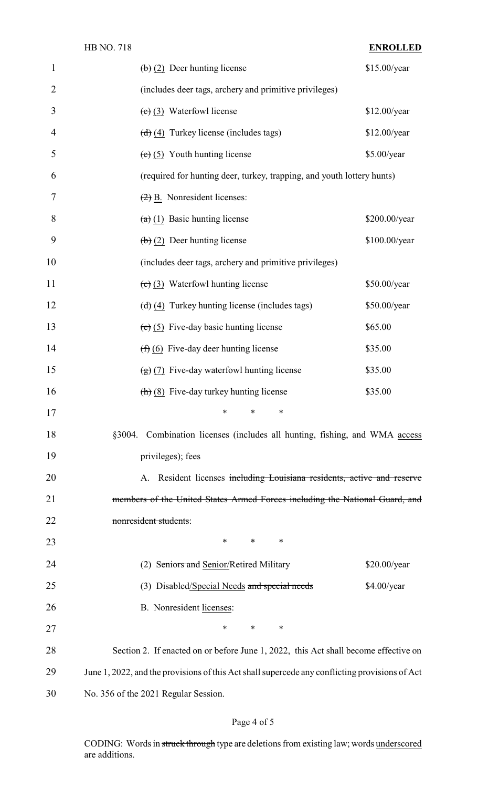| $\mathbf{1}$   | $\left(\frac{b}{2}\right)$ Deer hunting license                                                | \$15.00/year  |
|----------------|------------------------------------------------------------------------------------------------|---------------|
| $\overline{2}$ | (includes deer tags, archery and primitive privileges)                                         |               |
| 3              | $(e)$ (3) Waterfowl license                                                                    | \$12.00/year  |
| 4              | $\left(\frac{d}{d}\right)\left(4\right)$ Turkey license (includes tags)                        | \$12.00/year  |
| 5              | $(e)$ (5) Youth hunting license                                                                | \$5.00/year   |
| 6              | (required for hunting deer, turkey, trapping, and youth lottery hunts)                         |               |
| 7              | $\left(\frac{2}{2}\right)$ B. Nonresident licenses:                                            |               |
| 8              | $(a)$ (1) Basic hunting license                                                                | \$200.00/year |
| 9              | $\left(\frac{b}{c}\right)$ (2) Deer hunting license                                            | \$100.00/year |
| 10             | (includes deer tags, archery and primitive privileges)                                         |               |
| 11             | $\left(\text{c}\right)$ (3) Waterfowl hunting license                                          | \$50.00/year  |
| 12             | $\left(\frac{d}{d}\right)\left(4\right)$ Turkey hunting license (includes tags)                | \$50.00/year  |
| 13             | $(e)$ (5) Five-day basic hunting license                                                       | \$65.00       |
| 14             | $(f)$ (6) Five-day deer hunting license                                                        | \$35.00       |
| 15             | $\left(\frac{1}{2}\right)$ (7) Five-day waterfowl hunting license                              | \$35.00       |
| 16             | $\left(\frac{\hbar}{\hbar}\right)$ (8) Five-day turkey hunting license                         | \$35.00       |
| 17             | $\ast$ $\ast$                                                                                  |               |
| 18             | §3004. Combination licenses (includes all hunting, fishing, and WMA access                     |               |
| 19             | privileges); fees                                                                              |               |
| 20             | A. Resident licenses including Louisiana residents, active and reserve                         |               |
| 21             | members of the United States Armed Forces including the National Guard, and                    |               |
| 22             | nonresident students:                                                                          |               |
| 23             | $\ast$<br>*<br>∗                                                                               |               |
| 24             | (2) Seniors and Senior/Retired Military                                                        | \$20.00/year  |
| 25             | (3) Disabled/Special Needs and special needs                                                   | \$4.00/year   |
| 26             | B. Nonresident licenses:                                                                       |               |
| 27             | $\ast$<br>$\ast$<br>*                                                                          |               |
| 28             | Section 2. If enacted on or before June 1, 2022, this Act shall become effective on            |               |
| 29             | June 1, 2022, and the provisions of this Act shall supercede any conflicting provisions of Act |               |
| 30             | No. 356 of the 2021 Regular Session.                                                           |               |

# Page 4 of 5

CODING: Words in struck through type are deletions from existing law; words underscored are additions.